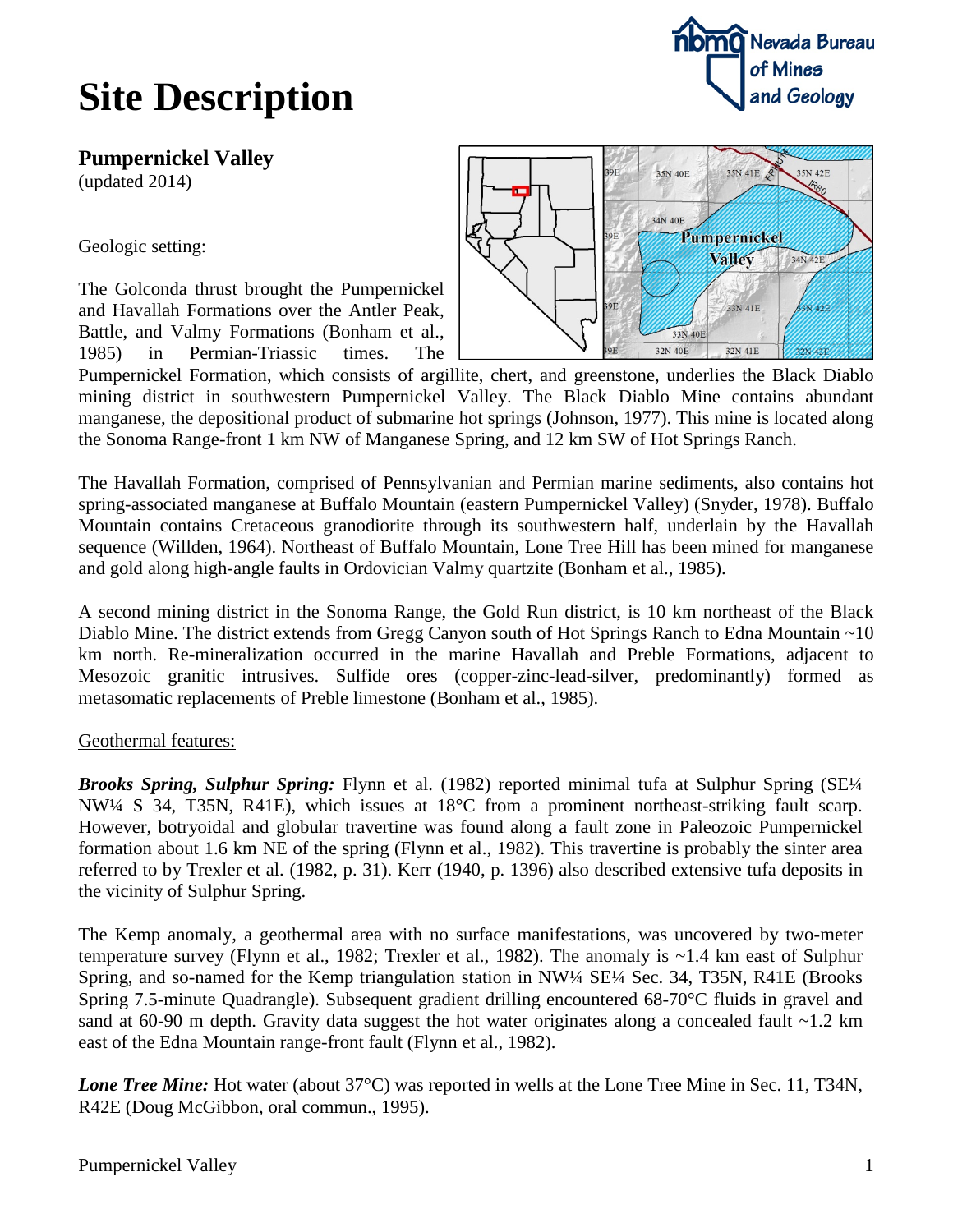

## **Site Description**

**Pumpernickel Valley**

(updated 2014)

Geologic setting:

The Golconda thrust brought the Pumpernickel and Havallah Formations over the Antler Peak, Battle, and Valmy Formations (Bonham et al., 1985) in Permian-Triassic times. The



Pumpernickel Formation, which consists of argillite, chert, and greenstone, underlies the Black Diablo mining district in southwestern Pumpernickel Valley. The Black Diablo Mine contains abundant manganese, the depositional product of submarine hot springs (Johnson, 1977). This mine is located along the Sonoma Range-front 1 km NW of Manganese Spring, and 12 km SW of Hot Springs Ranch.

The Havallah Formation, comprised of Pennsylvanian and Permian marine sediments, also contains hot spring-associated manganese at Buffalo Mountain (eastern Pumpernickel Valley) (Snyder, 1978). Buffalo Mountain contains Cretaceous granodiorite through its southwestern half, underlain by the Havallah sequence (Willden, 1964). Northeast of Buffalo Mountain, Lone Tree Hill has been mined for manganese and gold along high-angle faults in Ordovician Valmy quartzite (Bonham et al., 1985).

A second mining district in the Sonoma Range, the Gold Run district, is 10 km northeast of the Black Diablo Mine. The district extends from Gregg Canyon south of Hot Springs Ranch to Edna Mountain ~10 km north. Re-mineralization occurred in the marine Havallah and Preble Formations, adjacent to Mesozoic granitic intrusives. Sulfide ores (copper-zinc-lead-silver, predominantly) formed as metasomatic replacements of Preble limestone (Bonham et al., 1985).

### Geothermal features:

*Brooks Spring, Sulphur Spring:* Flynn et al. (1982) reported minimal tufa at Sulphur Spring (SE¼ NW¼ S 34, T35N, R41E), which issues at 18°C from a prominent northeast-striking fault scarp. However, botryoidal and globular travertine was found along a fault zone in Paleozoic Pumpernickel formation about 1.6 km NE of the spring (Flynn et al., 1982). This travertine is probably the sinter area referred to by Trexler et al. (1982, p. 31). Kerr (1940, p. 1396) also described extensive tufa deposits in the vicinity of Sulphur Spring.

The Kemp anomaly, a geothermal area with no surface manifestations, was uncovered by two-meter temperature survey (Flynn et al., 1982; Trexler et al., 1982). The anomaly is ~1.4 km east of Sulphur Spring, and so-named for the Kemp triangulation station in NW¼ SE¼ Sec. 34, T35N, R41E (Brooks Spring 7.5-minute Quadrangle). Subsequent gradient drilling encountered 68-70°C fluids in gravel and sand at 60-90 m depth. Gravity data suggest the hot water originates along a concealed fault  $\sim$ 1.2 km east of the Edna Mountain range-front fault (Flynn et al., 1982).

*Lone Tree Mine:* Hot water (about 37<sup>o</sup>C) was reported in wells at the Lone Tree Mine in Sec. 11, T34N, R42E (Doug McGibbon, oral commun., 1995).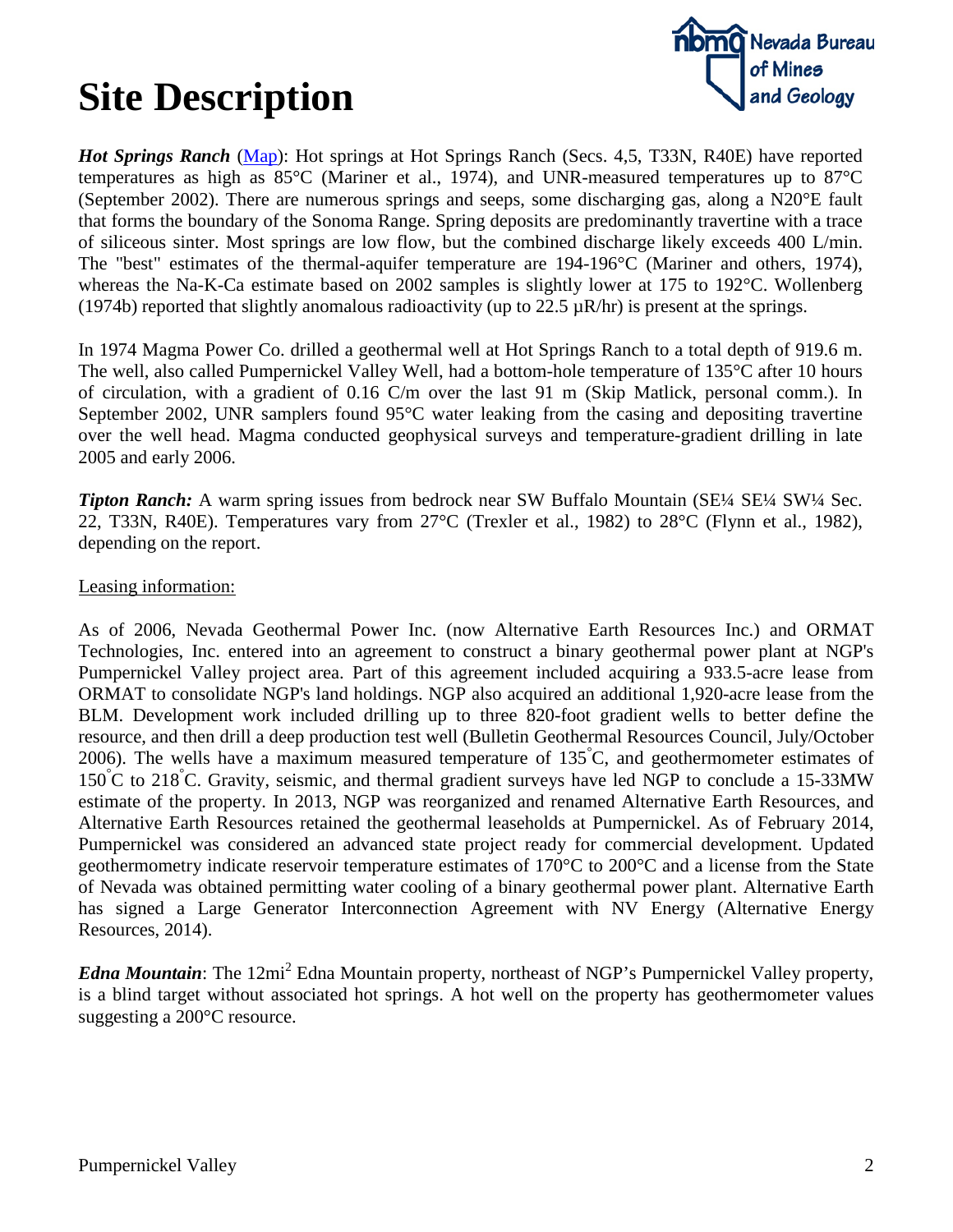## **Site Description**



*Hot Springs Ranch* [\(Map\)](http://www.nbmg.unr.edu/geothermal/detailedmaps/Hot%20Springs%20%28Tipton%29%20Ranch.pdf): Hot springs at Hot Springs Ranch (Secs. 4,5, T33N, R40E) have reported temperatures as high as 85°C (Mariner et al., 1974), and UNR-measured temperatures up to 87°C (September 2002). There are numerous springs and seeps, some discharging gas, along a N20°E fault that forms the boundary of the Sonoma Range. Spring deposits are predominantly travertine with a trace of siliceous sinter. Most springs are low flow, but the combined discharge likely exceeds 400 L/min. The "best" estimates of the thermal-aquifer temperature are 194-196°C (Mariner and others, 1974), whereas the Na-K-Ca estimate based on 2002 samples is slightly lower at 175 to 192°C. Wollenberg (1974b) reported that slightly anomalous radioactivity (up to  $22.5 \mu R/hr$ ) is present at the springs.

In 1974 Magma Power Co. drilled a geothermal well at Hot Springs Ranch to a total depth of 919.6 m. The well, also called Pumpernickel Valley Well, had a bottom-hole temperature of 135°C after 10 hours of circulation, with a gradient of 0.16 C/m over the last 91 m (Skip Matlick, personal comm.). In September 2002, UNR samplers found 95°C water leaking from the casing and depositing travertine over the well head. Magma conducted geophysical surveys and temperature-gradient drilling in late 2005 and early 2006.

*Tipton Ranch:* A warm spring issues from bedrock near SW Buffalo Mountain (SE¼ SE¼ SW¼ Sec. 22, T33N, R40E). Temperatures vary from 27°C (Trexler et al., 1982) to 28°C (Flynn et al., 1982), depending on the report.

#### Leasing information:

As of 2006, Nevada Geothermal Power Inc. (now Alternative Earth Resources Inc.) and ORMAT Technologies, Inc. entered into an agreement to construct a binary geothermal power plant at NGP's Pumpernickel Valley project area. Part of this agreement included acquiring a 933.5-acre lease from ORMAT to consolidate NGP's land holdings. NGP also acquired an additional 1,920-acre lease from the BLM. Development work included drilling up to three 820-foot gradient wells to better define the resource, and then drill a deep production test well (Bulletin Geothermal Resources Council, July/October 2006). The wells have a maximum measured temperature of 135° C, and geothermometer estimates of 150° C to 218° C. Gravity, seismic, and thermal gradient surveys have led NGP to conclude a 15-33MW estimate of the property. In 2013, NGP was reorganized and renamed Alternative Earth Resources, and Alternative Earth Resources retained the geothermal leaseholds at Pumpernickel. As of February 2014, Pumpernickel was considered an advanced state project ready for commercial development. Updated geothermometry indicate reservoir temperature estimates of 170°C to 200°C and a license from the State of Nevada was obtained permitting water cooling of a binary geothermal power plant. Alternative Earth has signed a Large Generator Interconnection Agreement with NV Energy (Alternative Energy Resources, 2014).

*Edna Mountain*: The 12mi<sup>2</sup> Edna Mountain property, northeast of NGP's Pumpernickel Valley property, is a blind target without associated hot springs. A hot well on the property has geothermometer values suggesting a 200°C resource.